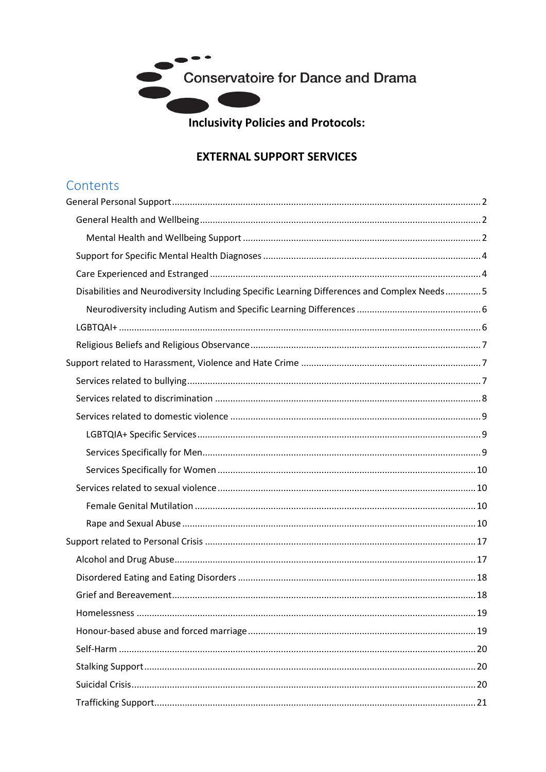

**Inclusivity Policies and Protocols:** 

# **EXTERNAL SUPPORT SERVICES**

# Contents

<span id="page-0-0"></span>

| Disabilities and Neurodiversity Including Specific Learning Differences and Complex Needs 5 |
|---------------------------------------------------------------------------------------------|
|                                                                                             |
|                                                                                             |
|                                                                                             |
|                                                                                             |
|                                                                                             |
|                                                                                             |
|                                                                                             |
|                                                                                             |
|                                                                                             |
|                                                                                             |
|                                                                                             |
|                                                                                             |
|                                                                                             |
|                                                                                             |
|                                                                                             |
|                                                                                             |
|                                                                                             |
|                                                                                             |
|                                                                                             |
|                                                                                             |
|                                                                                             |
|                                                                                             |
|                                                                                             |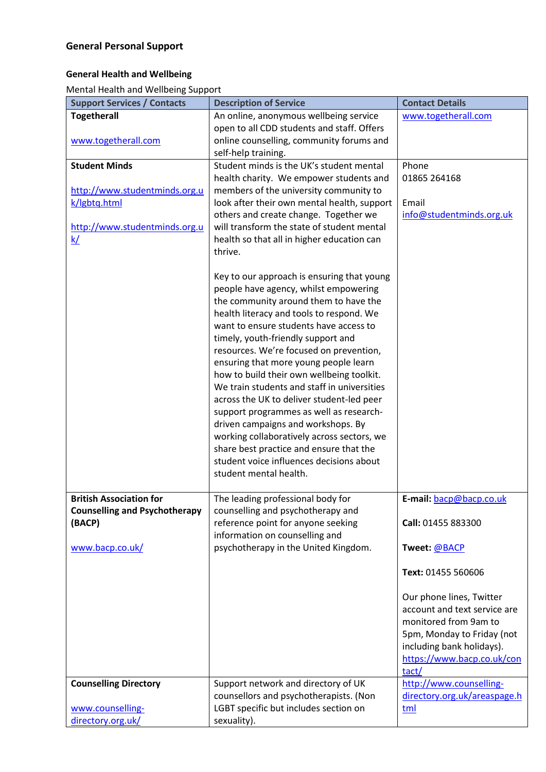## <span id="page-1-0"></span>**General Health and Wellbeing**

<span id="page-1-1"></span>Mental Health and Wellbeing Support

| <b>Support Services / Contacts</b>   | <b>Description of Service</b>                                          | <b>Contact Details</b>       |
|--------------------------------------|------------------------------------------------------------------------|------------------------------|
| <b>Togetherall</b>                   | An online, anonymous wellbeing service                                 | www.togetherall.com          |
|                                      | open to all CDD students and staff. Offers                             |                              |
| www.togetherall.com                  | online counselling, community forums and                               |                              |
|                                      | self-help training.                                                    |                              |
| <b>Student Minds</b>                 | Student minds is the UK's student mental                               | Phone                        |
|                                      | health charity. We empower students and                                | 01865 264168                 |
| http://www.studentminds.org.u        | members of the university community to                                 |                              |
| k/lgbtq.html                         | look after their own mental health, support                            | Email                        |
|                                      | others and create change. Together we                                  | info@studentminds.org.uk     |
| http://www.studentminds.org.u        | will transform the state of student mental                             |                              |
| <u>k/</u>                            | health so that all in higher education can                             |                              |
|                                      | thrive.                                                                |                              |
|                                      |                                                                        |                              |
|                                      | Key to our approach is ensuring that young                             |                              |
|                                      | people have agency, whilst empowering                                  |                              |
|                                      | the community around them to have the                                  |                              |
|                                      | health literacy and tools to respond. We                               |                              |
|                                      | want to ensure students have access to                                 |                              |
|                                      | timely, youth-friendly support and                                     |                              |
|                                      | resources. We're focused on prevention,                                |                              |
|                                      | ensuring that more young people learn                                  |                              |
|                                      | how to build their own wellbeing toolkit.                              |                              |
|                                      | We train students and staff in universities                            |                              |
|                                      | across the UK to deliver student-led peer                              |                              |
|                                      | support programmes as well as research-                                |                              |
|                                      | driven campaigns and workshops. By                                     |                              |
|                                      | working collaboratively across sectors, we                             |                              |
|                                      | share best practice and ensure that the                                |                              |
|                                      | student voice influences decisions about                               |                              |
|                                      | student mental health.                                                 |                              |
|                                      |                                                                        |                              |
| <b>British Association for</b>       | The leading professional body for                                      | E-mail: bacp@bacp.co.uk      |
| <b>Counselling and Psychotherapy</b> | counselling and psychotherapy and                                      |                              |
| (BACP)                               | reference point for anyone seeking                                     | Call: 01455 883300           |
| www.bacp.co.uk/                      | information on counselling and<br>psychotherapy in the United Kingdom. | Tweet: @BACP                 |
|                                      |                                                                        |                              |
|                                      |                                                                        | Text: 01455 560606           |
|                                      |                                                                        |                              |
|                                      |                                                                        | Our phone lines, Twitter     |
|                                      |                                                                        | account and text service are |
|                                      |                                                                        | monitored from 9am to        |
|                                      |                                                                        | 5pm, Monday to Friday (not   |
|                                      |                                                                        | including bank holidays).    |
|                                      |                                                                        | https://www.bacp.co.uk/con   |
|                                      |                                                                        | tact/                        |
| <b>Counselling Directory</b>         | Support network and directory of UK                                    | http://www.counselling-      |
|                                      | counsellors and psychotherapists. (Non                                 | directory.org.uk/areaspage.h |
| www.counselling-                     | LGBT specific but includes section on                                  | tml                          |
| directory.org.uk/                    | sexuality).                                                            |                              |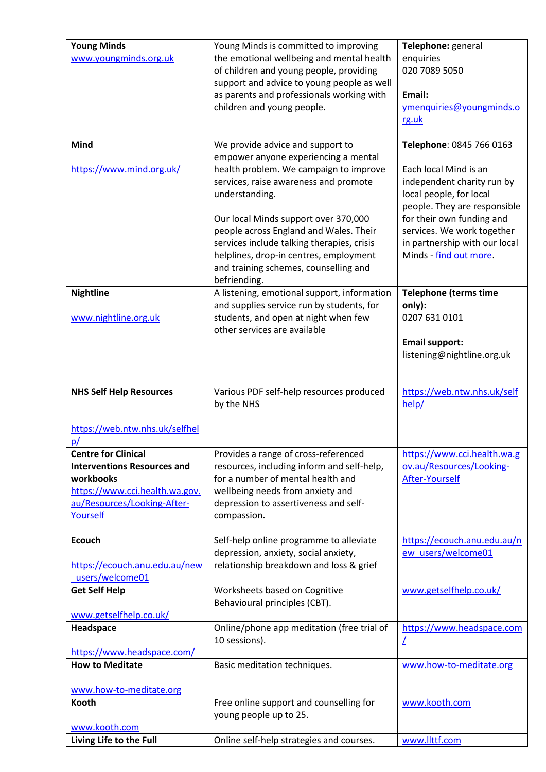| <b>Young Minds</b><br>www.youngminds.org.uk                                                                                                                             | Young Minds is committed to improving<br>the emotional wellbeing and mental health<br>of children and young people, providing<br>support and advice to young people as well<br>as parents and professionals working with<br>children and young people.                                                                                                                                                           | Telephone: general<br>enquiries<br>020 7089 5050<br>Email:<br>ymenquiries@youngminds.o<br>rg.uk                                                                                                                                                                  |
|-------------------------------------------------------------------------------------------------------------------------------------------------------------------------|------------------------------------------------------------------------------------------------------------------------------------------------------------------------------------------------------------------------------------------------------------------------------------------------------------------------------------------------------------------------------------------------------------------|------------------------------------------------------------------------------------------------------------------------------------------------------------------------------------------------------------------------------------------------------------------|
| <b>Mind</b><br>https://www.mind.org.uk/                                                                                                                                 | We provide advice and support to<br>empower anyone experiencing a mental<br>health problem. We campaign to improve<br>services, raise awareness and promote<br>understanding.<br>Our local Minds support over 370,000<br>people across England and Wales. Their<br>services include talking therapies, crisis<br>helplines, drop-in centres, employment<br>and training schemes, counselling and<br>befriending. | Telephone: 0845 766 0163<br>Each local Mind is an<br>independent charity run by<br>local people, for local<br>people. They are responsible<br>for their own funding and<br>services. We work together<br>in partnership with our local<br>Minds - find out more. |
| <b>Nightline</b><br>www.nightline.org.uk                                                                                                                                | A listening, emotional support, information<br>and supplies service run by students, for<br>students, and open at night when few<br>other services are available                                                                                                                                                                                                                                                 | <b>Telephone (terms time</b><br>only):<br>0207 631 0101<br><b>Email support:</b><br>listening@nightline.org.uk                                                                                                                                                   |
| <b>NHS Self Help Resources</b><br>https://web.ntw.nhs.uk/selfhel                                                                                                        | Various PDF self-help resources produced<br>by the NHS                                                                                                                                                                                                                                                                                                                                                           | https://web.ntw.nhs.uk/self<br>help/                                                                                                                                                                                                                             |
| <u>p/</u><br><b>Centre for Clinical</b><br><b>Interventions Resources and</b><br>workbooks<br>https://www.cci.health.wa.gov.<br>au/Resources/Looking-After-<br>Yourself | Provides a range of cross-referenced<br>resources, including inform and self-help,<br>for a number of mental health and<br>wellbeing needs from anxiety and<br>depression to assertiveness and self-<br>compassion.                                                                                                                                                                                              | https://www.cci.health.wa.g<br>ov.au/Resources/Looking-<br>After-Yourself                                                                                                                                                                                        |
| <b>Ecouch</b><br>https://ecouch.anu.edu.au/new<br>users/welcome01                                                                                                       | Self-help online programme to alleviate<br>depression, anxiety, social anxiety,<br>relationship breakdown and loss & grief                                                                                                                                                                                                                                                                                       | https://ecouch.anu.edu.au/n<br>ew users/welcome01                                                                                                                                                                                                                |
| <b>Get Self Help</b><br>www.getselfhelp.co.uk/                                                                                                                          | Worksheets based on Cognitive<br>Behavioural principles (CBT).                                                                                                                                                                                                                                                                                                                                                   | www.getselfhelp.co.uk/                                                                                                                                                                                                                                           |
| Headspace<br>https://www.headspace.com/                                                                                                                                 | Online/phone app meditation (free trial of<br>10 sessions).                                                                                                                                                                                                                                                                                                                                                      | https://www.headspace.com<br>L                                                                                                                                                                                                                                   |
| <b>How to Meditate</b><br>www.how-to-meditate.org                                                                                                                       | Basic meditation techniques.                                                                                                                                                                                                                                                                                                                                                                                     | www.how-to-meditate.org                                                                                                                                                                                                                                          |
| Kooth<br>www.kooth.com                                                                                                                                                  | Free online support and counselling for<br>young people up to 25.                                                                                                                                                                                                                                                                                                                                                | www.kooth.com                                                                                                                                                                                                                                                    |
| Living Life to the Full                                                                                                                                                 | Online self-help strategies and courses.                                                                                                                                                                                                                                                                                                                                                                         | www.llttf.com                                                                                                                                                                                                                                                    |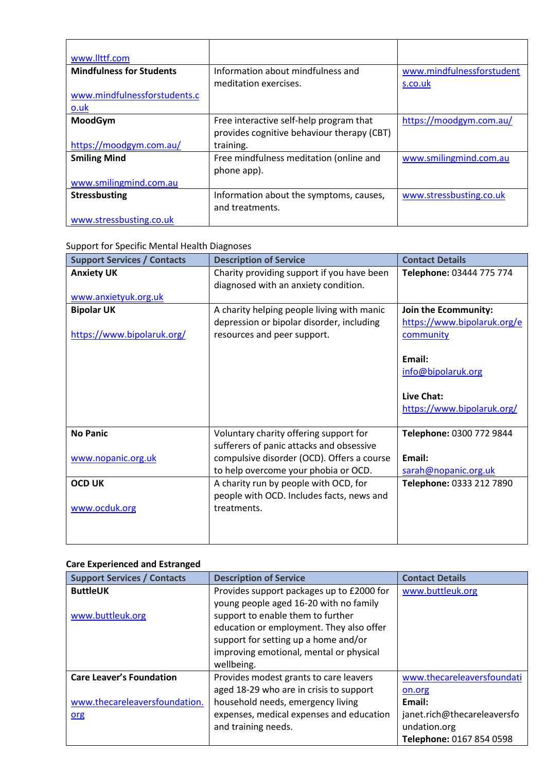| www.llttf.com                   |                                            |                           |
|---------------------------------|--------------------------------------------|---------------------------|
| <b>Mindfulness for Students</b> | Information about mindfulness and          | www.mindfulnessforstudent |
|                                 | meditation exercises.                      | s.co.uk                   |
| www.mindfulnessforstudents.c    |                                            |                           |
| $0.$ uk                         |                                            |                           |
| MoodGym                         | Free interactive self-help program that    | https://moodgym.com.au/   |
|                                 | provides cognitive behaviour therapy (CBT) |                           |
| https://moodgym.com.au/         | training.                                  |                           |
| <b>Smiling Mind</b>             | Free mindfulness meditation (online and    | www.smilingmind.com.au    |
|                                 | phone app).                                |                           |
| www.smilingmind.com.au          |                                            |                           |
| <b>Stressbusting</b>            | Information about the symptoms, causes,    | www.stressbusting.co.uk   |
|                                 | and treatments.                            |                           |
| www.stressbusting.co.uk         |                                            |                           |

#### <span id="page-3-0"></span>Support for Specific Mental Health Diagnoses

| <b>Support Services / Contacts</b>              | <b>Description of Service</b>                                                                                          | <b>Contact Details</b>                                           |
|-------------------------------------------------|------------------------------------------------------------------------------------------------------------------------|------------------------------------------------------------------|
| <b>Anxiety UK</b><br>www.anxietyuk.org.uk       | Charity providing support if you have been<br>diagnosed with an anxiety condition.                                     | Telephone: 03444 775 774                                         |
| <b>Bipolar UK</b><br>https://www.bipolaruk.org/ | A charity helping people living with manic<br>depression or bipolar disorder, including<br>resources and peer support. | Join the Ecommunity:<br>https://www.bipolaruk.org/e<br>community |
|                                                 |                                                                                                                        | Email:<br>info@bipolaruk.org                                     |
|                                                 |                                                                                                                        | Live Chat:<br>https://www.bipolaruk.org/                         |
| <b>No Panic</b>                                 | Voluntary charity offering support for<br>sufferers of panic attacks and obsessive                                     | Telephone: 0300 772 9844                                         |
| www.nopanic.org.uk                              | compulsive disorder (OCD). Offers a course<br>to help overcome your phobia or OCD.                                     | Email:<br>sarah@nopanic.org.uk                                   |
| <b>OCD UK</b>                                   | A charity run by people with OCD, for<br>people with OCD. Includes facts, news and                                     | Telephone: 0333 212 7890                                         |
| www.ocduk.org                                   | treatments.                                                                                                            |                                                                  |

# <span id="page-3-1"></span>**Care Experienced and Estranged**

| <b>Support Services / Contacts</b> | <b>Description of Service</b>             | <b>Contact Details</b>      |
|------------------------------------|-------------------------------------------|-----------------------------|
| <b>ButtleUK</b>                    | Provides support packages up to £2000 for | www.buttleuk.org            |
|                                    | young people aged 16-20 with no family    |                             |
| www.buttleuk.org                   | support to enable them to further         |                             |
|                                    | education or employment. They also offer  |                             |
|                                    | support for setting up a home and/or      |                             |
|                                    | improving emotional, mental or physical   |                             |
|                                    | wellbeing.                                |                             |
| <b>Care Leaver's Foundation</b>    | Provides modest grants to care leavers    | www.thecareleaversfoundati  |
|                                    | aged 18-29 who are in crisis to support   | on.org                      |
| www.thecareleaversfoundation.      | household needs, emergency living         | Email:                      |
| <u>org</u>                         | expenses, medical expenses and education  | janet.rich@thecareleaversfo |
|                                    | and training needs.                       | undation.org                |
|                                    |                                           | Telephone: 0167 854 0598    |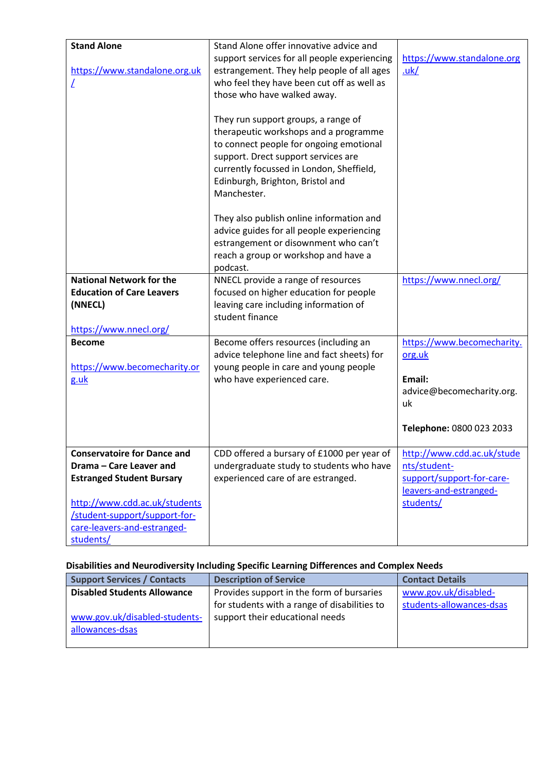| <b>Stand Alone</b>                                             | Stand Alone offer innovative advice and                                                                                                                                                                                                                       |                                                                       |
|----------------------------------------------------------------|---------------------------------------------------------------------------------------------------------------------------------------------------------------------------------------------------------------------------------------------------------------|-----------------------------------------------------------------------|
| https://www.standalone.org.uk                                  | support services for all people experiencing<br>estrangement. They help people of all ages<br>who feel they have been cut off as well as<br>those who have walked away.                                                                                       | https://www.standalone.org<br>uk/                                     |
|                                                                | They run support groups, a range of<br>therapeutic workshops and a programme<br>to connect people for ongoing emotional<br>support. Drect support services are<br>currently focussed in London, Sheffield,<br>Edinburgh, Brighton, Bristol and<br>Manchester. |                                                                       |
|                                                                | They also publish online information and<br>advice guides for all people experiencing<br>estrangement or disownment who can't<br>reach a group or workshop and have a<br>podcast.                                                                             |                                                                       |
| <b>National Network for the</b>                                | NNECL provide a range of resources                                                                                                                                                                                                                            | https://www.nnecl.org/                                                |
| <b>Education of Care Leavers</b><br>(NNECL)                    | focused on higher education for people<br>leaving care including information of<br>student finance                                                                                                                                                            |                                                                       |
| https://www.nnecl.org/                                         |                                                                                                                                                                                                                                                               |                                                                       |
| <b>Become</b>                                                  | Become offers resources (including an<br>advice telephone line and fact sheets) for                                                                                                                                                                           | https://www.becomecharity.<br>org.uk                                  |
| https://www.becomecharity.or<br>g.uk                           | young people in care and young people<br>who have experienced care.                                                                                                                                                                                           | Email:<br>advice@becomecharity.org.<br>uk<br>Telephone: 0800 023 2033 |
|                                                                |                                                                                                                                                                                                                                                               |                                                                       |
| <b>Conservatoire for Dance and</b>                             | CDD offered a bursary of £1000 per year of                                                                                                                                                                                                                    | http://www.cdd.ac.uk/stude                                            |
| Drama - Care Leaver and<br><b>Estranged Student Bursary</b>    | undergraduate study to students who have<br>experienced care of are estranged.                                                                                                                                                                                | nts/student-<br>support/support-for-care-<br>leavers-and-estranged-   |
| http://www.cdd.ac.uk/students<br>/student-support/support-for- |                                                                                                                                                                                                                                                               | students/                                                             |
| care-leavers-and-estranged-<br>students/                       |                                                                                                                                                                                                                                                               |                                                                       |

# <span id="page-4-0"></span>**Disabilities and Neurodiversity Including Specific Learning Differences and Complex Needs**

| <b>Support Services / Contacts</b> | <b>Description of Service</b>                | <b>Contact Details</b>   |
|------------------------------------|----------------------------------------------|--------------------------|
| <b>Disabled Students Allowance</b> | Provides support in the form of bursaries    | www.gov.uk/disabled-     |
|                                    | for students with a range of disabilities to | students-allowances-dsas |
| www.gov.uk/disabled-students-      | support their educational needs              |                          |
| allowances-dsas                    |                                              |                          |
|                                    |                                              |                          |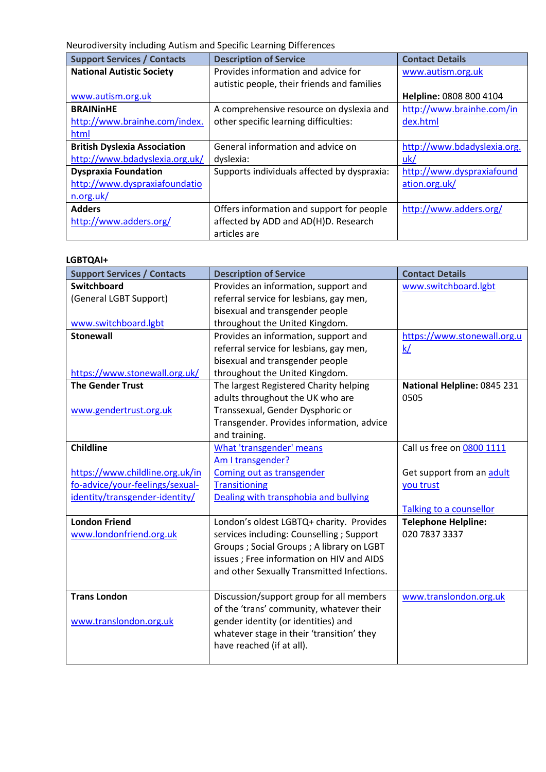<span id="page-5-0"></span>Neurodiversity including Autism and Specific Learning Differences

| <b>Support Services / Contacts</b>  | <b>Description of Service</b>               | <b>Contact Details</b>      |
|-------------------------------------|---------------------------------------------|-----------------------------|
| <b>National Autistic Society</b>    | Provides information and advice for         | www.autism.org.uk           |
|                                     | autistic people, their friends and families |                             |
| www.autism.org.uk                   |                                             | Helpline: 0808 800 4104     |
| <b>BRAININHE</b>                    | A comprehensive resource on dyslexia and    | http://www.brainhe.com/in   |
| http://www.brainhe.com/index.       | other specific learning difficulties:       | dex.html                    |
| html                                |                                             |                             |
| <b>British Dyslexia Association</b> | General information and advice on           | http://www.bdadyslexia.org. |
| http://www.bdadyslexia.org.uk/      | dyslexia:                                   | uk/                         |
| <b>Dyspraxia Foundation</b>         | Supports individuals affected by dyspraxia: | http://www.dyspraxiafound   |
| http://www.dyspraxiafoundatio       |                                             | ation.org.uk/               |
| n.org.uk/                           |                                             |                             |
| <b>Adders</b>                       | Offers information and support for people   | http://www.adders.org/      |
| http://www.adders.org/              | affected by ADD and AD(H)D. Research        |                             |
|                                     | articles are                                |                             |

#### <span id="page-5-1"></span>**LGBTQAI+**

| <b>Support Services / Contacts</b> | <b>Description of Service</b>              | <b>Contact Details</b>      |
|------------------------------------|--------------------------------------------|-----------------------------|
| <b>Switchboard</b>                 | Provides an information, support and       | www.switchboard.lgbt        |
| (General LGBT Support)             | referral service for lesbians, gay men,    |                             |
|                                    | bisexual and transgender people            |                             |
| www.switchboard.lgbt               | throughout the United Kingdom.             |                             |
| <b>Stonewall</b>                   | Provides an information, support and       | https://www.stonewall.org.u |
|                                    | referral service for lesbians, gay men,    | k/                          |
|                                    | bisexual and transgender people            |                             |
| https://www.stonewall.org.uk/      | throughout the United Kingdom.             |                             |
| <b>The Gender Trust</b>            | The largest Registered Charity helping     | National Helpline: 0845 231 |
|                                    | adults throughout the UK who are           | 0505                        |
| www.gendertrust.org.uk             | Transsexual, Gender Dysphoric or           |                             |
|                                    | Transgender. Provides information, advice  |                             |
|                                    | and training.                              |                             |
| <b>Childline</b>                   | What 'transgender' means                   | Call us free on 0800 1111   |
|                                    | Am I transgender?                          |                             |
| https://www.childline.org.uk/in    | Coming out as transgender                  | Get support from an adult   |
| fo-advice/your-feelings/sexual-    | <b>Transitioning</b>                       | you trust                   |
| identity/transgender-identity/     | Dealing with transphobia and bullying      |                             |
|                                    |                                            | Talking to a counsellor     |
| <b>London Friend</b>               | London's oldest LGBTQ+ charity. Provides   | <b>Telephone Helpline:</b>  |
| www.londonfriend.org.uk            | services including: Counselling ; Support  | 020 7837 3337               |
|                                    | Groups ; Social Groups ; A library on LGBT |                             |
|                                    | issues ; Free information on HIV and AIDS  |                             |
|                                    | and other Sexually Transmitted Infections. |                             |
|                                    |                                            |                             |
| <b>Trans London</b>                | Discussion/support group for all members   | www.translondon.org.uk      |
|                                    | of the 'trans' community, whatever their   |                             |
| www.translondon.org.uk             | gender identity (or identities) and        |                             |
|                                    | whatever stage in their 'transition' they  |                             |
|                                    | have reached (if at all).                  |                             |
|                                    |                                            |                             |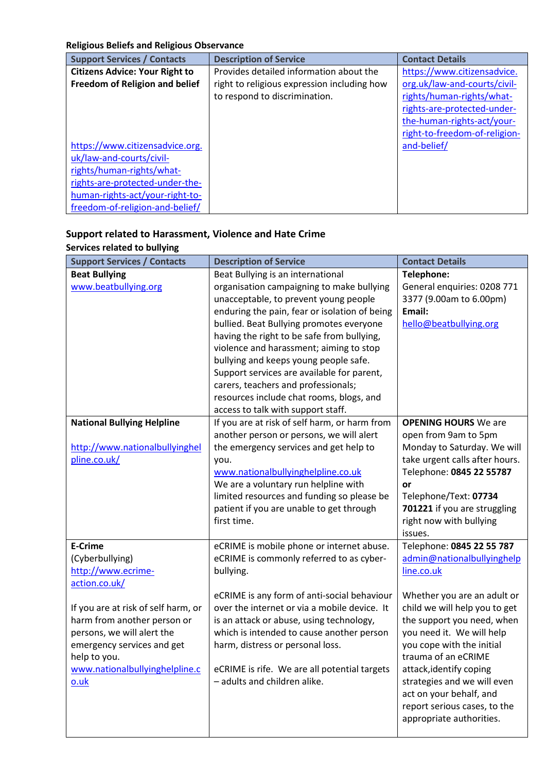#### <span id="page-6-0"></span>**Religious Beliefs and Religious Observance**

| <b>Support Services / Contacts</b>    | <b>Description of Service</b>               | <b>Contact Details</b>        |
|---------------------------------------|---------------------------------------------|-------------------------------|
| <b>Citizens Advice: Your Right to</b> | Provides detailed information about the     | https://www.citizensadvice.   |
| Freedom of Religion and belief        | right to religious expression including how | org.uk/law-and-courts/civil-  |
|                                       | to respond to discrimination.               | rights/human-rights/what-     |
|                                       |                                             | rights-are-protected-under-   |
|                                       |                                             | the-human-rights-act/your-    |
|                                       |                                             | right-to-freedom-of-religion- |
| https://www.citizensadvice.org.       |                                             | and-belief/                   |
| uk/law-and-courts/civil-              |                                             |                               |
| rights/human-rights/what-             |                                             |                               |
| rights-are-protected-under-the-       |                                             |                               |
| human-rights-act/your-right-to-       |                                             |                               |
| freedom-of-religion-and-belief/       |                                             |                               |

# <span id="page-6-1"></span>**Support related to Harassment, Violence and Hate Crime**

#### <span id="page-6-2"></span>**Services related to bullying**

| <b>Support Services / Contacts</b>  | <b>Description of Service</b>                 | <b>Contact Details</b>         |
|-------------------------------------|-----------------------------------------------|--------------------------------|
| <b>Beat Bullying</b>                | Beat Bullying is an international             | Telephone:                     |
| www.beatbullying.org                | organisation campaigning to make bullying     | General enquiries: 0208 771    |
|                                     | unacceptable, to prevent young people         | 3377 (9.00am to 6.00pm)        |
|                                     | enduring the pain, fear or isolation of being | Email:                         |
|                                     | bullied. Beat Bullying promotes everyone      | hello@beatbullying.org         |
|                                     | having the right to be safe from bullying,    |                                |
|                                     | violence and harassment; aiming to stop       |                                |
|                                     | bullying and keeps young people safe.         |                                |
|                                     | Support services are available for parent,    |                                |
|                                     | carers, teachers and professionals;           |                                |
|                                     | resources include chat rooms, blogs, and      |                                |
|                                     | access to talk with support staff.            |                                |
| <b>National Bullying Helpline</b>   | If you are at risk of self harm, or harm from | <b>OPENING HOURS</b> We are    |
|                                     | another person or persons, we will alert      | open from 9am to 5pm           |
| http://www.nationalbullyinghel      | the emergency services and get help to        | Monday to Saturday. We will    |
| pline.co.uk/                        | you.                                          | take urgent calls after hours. |
|                                     | www.nationalbullyinghelpline.co.uk            | Telephone: 0845 22 55787       |
|                                     | We are a voluntary run helpline with          | <b>or</b>                      |
|                                     | limited resources and funding so please be    | Telephone/Text: 07734          |
|                                     | patient if you are unable to get through      | 701221 if you are struggling   |
|                                     | first time.                                   | right now with bullying        |
|                                     |                                               | issues.                        |
| <b>E-Crime</b>                      | eCRIME is mobile phone or internet abuse.     | Telephone: 0845 22 55 787      |
| (Cyberbullying)                     | eCRIME is commonly referred to as cyber-      | admin@nationalbullyinghelp     |
| http://www.ecrime-                  | bullying.                                     | line.co.uk                     |
| action.co.uk/                       |                                               |                                |
|                                     | eCRIME is any form of anti-social behaviour   | Whether you are an adult or    |
| If you are at risk of self harm, or | over the internet or via a mobile device. It  | child we will help you to get  |
| harm from another person or         | is an attack or abuse, using technology,      | the support you need, when     |
| persons, we will alert the          | which is intended to cause another person     | you need it. We will help      |
| emergency services and get          | harm, distress or personal loss.              | you cope with the initial      |
| help to you.                        |                                               | trauma of an eCRIME            |
| www.nationalbullyinghelpline.c      | eCRIME is rife. We are all potential targets  | attack, identify coping        |
| o.uk                                | - adults and children alike.                  | strategies and we will even    |
|                                     |                                               | act on your behalf, and        |
|                                     |                                               | report serious cases, to the   |
|                                     |                                               | appropriate authorities.       |
|                                     |                                               |                                |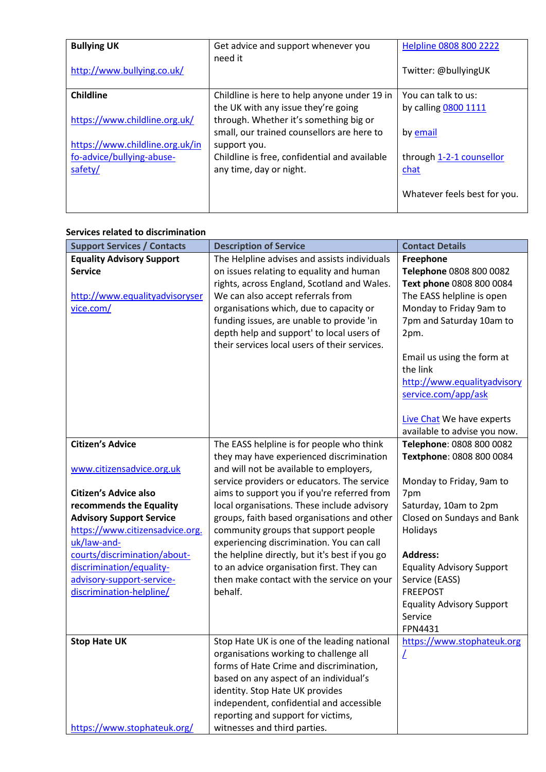| <b>Bullying UK</b><br>http://www.bullying.co.uk/                        | Get advice and support whenever you<br>need it                                                                                         | Helpline 0808 800 2222<br>Twitter: @bullyingUK |
|-------------------------------------------------------------------------|----------------------------------------------------------------------------------------------------------------------------------------|------------------------------------------------|
| Childline<br>https://www.childline.org.uk/                              | Childline is here to help anyone under 19 in<br>the UK with any issue they're going<br>through. Whether it's something big or          | You can talk to us:<br>by calling 0800 1111    |
| https://www.childline.org.uk/in<br>fo-advice/bullying-abuse-<br>safety/ | small, our trained counsellors are here to<br>support you.<br>Childline is free, confidential and available<br>any time, day or night. | by email<br>through 1-2-1 counsellor<br>chat   |
|                                                                         |                                                                                                                                        | Whatever feels best for you.                   |

#### <span id="page-7-0"></span>**Services related to discrimination**

| <b>Support Services / Contacts</b>                                                                                                           | <b>Description of Service</b>                                                                                                                                                                                                                                                                                                                                      | <b>Contact Details</b>                                                                                                                                                                                                                                       |
|----------------------------------------------------------------------------------------------------------------------------------------------|--------------------------------------------------------------------------------------------------------------------------------------------------------------------------------------------------------------------------------------------------------------------------------------------------------------------------------------------------------------------|--------------------------------------------------------------------------------------------------------------------------------------------------------------------------------------------------------------------------------------------------------------|
| <b>Equality Advisory Support</b><br><b>Service</b><br>http://www.equalityadvisoryser<br>vice.com/                                            | The Helpline advises and assists individuals<br>on issues relating to equality and human<br>rights, across England, Scotland and Wales.<br>We can also accept referrals from<br>organisations which, due to capacity or<br>funding issues, are unable to provide 'in<br>depth help and support' to local users of<br>their services local users of their services. | Freephone<br>Telephone 0808 800 0082<br>Text phone 0808 800 0084<br>The EASS helpline is open<br>Monday to Friday 9am to<br>7pm and Saturday 10am to<br>2pm.<br>Email us using the form at<br>the link<br>http://www.equalityadvisory<br>service.com/app/ask |
|                                                                                                                                              |                                                                                                                                                                                                                                                                                                                                                                    | Live Chat We have experts<br>available to advise you now.                                                                                                                                                                                                    |
| <b>Citizen's Advice</b><br>www.citizensadvice.org.uk                                                                                         | The EASS helpline is for people who think<br>they may have experienced discrimination<br>and will not be available to employers,<br>service providers or educators. The service                                                                                                                                                                                    | Telephone: 0808 800 0082<br>Textphone: 0808 800 0084<br>Monday to Friday, 9am to                                                                                                                                                                             |
| <b>Citizen's Advice also</b><br>recommends the Equality<br><b>Advisory Support Service</b><br>https://www.citizensadvice.org.<br>uk/law-and- | aims to support you if you're referred from<br>local organisations. These include advisory<br>groups, faith based organisations and other<br>community groups that support people<br>experiencing discrimination. You can call                                                                                                                                     | 7pm<br>Saturday, 10am to 2pm<br>Closed on Sundays and Bank<br>Holidays                                                                                                                                                                                       |
| courts/discrimination/about-<br>discrimination/equality-<br>advisory-support-service-<br>discrimination-helpline/                            | the helpline directly, but it's best if you go<br>to an advice organisation first. They can<br>then make contact with the service on your<br>behalf.                                                                                                                                                                                                               | <b>Address:</b><br><b>Equality Advisory Support</b><br>Service (EASS)<br><b>FREEPOST</b><br><b>Equality Advisory Support</b><br>Service<br>FPN4431                                                                                                           |
| <b>Stop Hate UK</b><br>https://www.stophateuk.org/                                                                                           | Stop Hate UK is one of the leading national<br>organisations working to challenge all<br>forms of Hate Crime and discrimination,<br>based on any aspect of an individual's<br>identity. Stop Hate UK provides<br>independent, confidential and accessible<br>reporting and support for victims,<br>witnesses and third parties.                                    | https://www.stophateuk.org<br>L                                                                                                                                                                                                                              |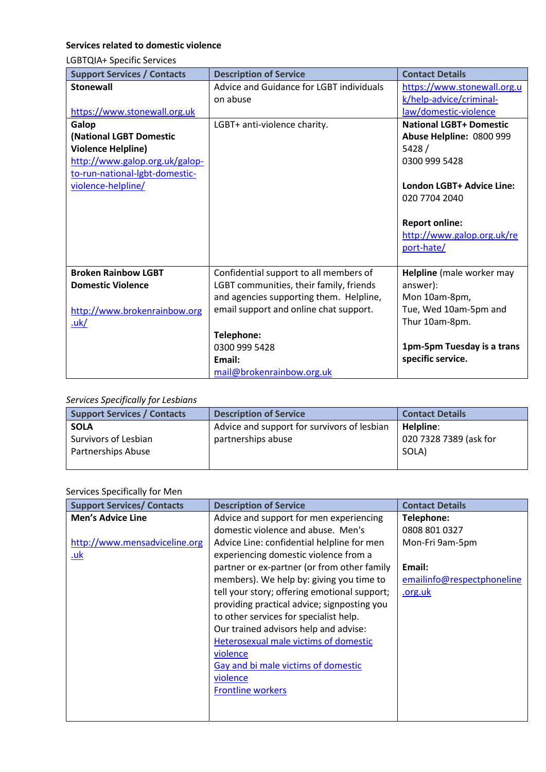### <span id="page-8-0"></span>**Services related to domestic violence**

<span id="page-8-1"></span>LGBTQIA+ Specific Services

| <b>Support Services / Contacts</b> | <b>Description of Service</b>            | <b>Contact Details</b>         |
|------------------------------------|------------------------------------------|--------------------------------|
| <b>Stonewall</b>                   | Advice and Guidance for LGBT individuals | https://www.stonewall.org.u    |
|                                    | on abuse                                 | k/help-advice/criminal-        |
| https://www.stonewall.org.uk       |                                          | law/domestic-violence          |
| Galop                              | LGBT+ anti-violence charity.             | <b>National LGBT+ Domestic</b> |
| (National LGBT Domestic            |                                          | Abuse Helpline: 0800 999       |
| <b>Violence Helpline)</b>          |                                          | 5428/                          |
| http://www.galop.org.uk/galop-     |                                          | 0300 999 5428                  |
| to-run-national-lgbt-domestic-     |                                          |                                |
| violence-helpline/                 |                                          | London LGBT+ Advice Line:      |
|                                    |                                          | 020 7704 2040                  |
|                                    |                                          |                                |
|                                    |                                          | <b>Report online:</b>          |
|                                    |                                          | http://www.galop.org.uk/re     |
|                                    |                                          | port-hate/                     |
|                                    |                                          |                                |
| <b>Broken Rainbow LGBT</b>         | Confidential support to all members of   | Helpline (male worker may      |
| <b>Domestic Violence</b>           | LGBT communities, their family, friends  | answer):                       |
|                                    | and agencies supporting them. Helpline,  | Mon 10am-8pm,                  |
| http://www.brokenrainbow.org       | email support and online chat support.   | Tue, Wed 10am-5pm and          |
| <u>.uk/</u>                        |                                          | Thur 10am-8pm.                 |
|                                    | Telephone:                               |                                |
|                                    | 0300 999 5428                            | 1pm-5pm Tuesday is a trans     |
|                                    | Email:                                   | specific service.              |
|                                    | mail@brokenrainbow.org.uk                |                                |

#### *Services Specifically for Lesbians*

| ------- <i>------------------------</i> ----- |                                             |                        |
|-----------------------------------------------|---------------------------------------------|------------------------|
| <b>Support Services / Contacts</b>            | <b>Description of Service</b>               | <b>Contact Details</b> |
| <b>SOLA</b>                                   | Advice and support for survivors of lesbian | Helpline:              |
| Survivors of Lesbian                          | partnerships abuse                          | 020 7328 7389 (ask for |
| Partnerships Abuse                            |                                             | SOLA)                  |
|                                               |                                             |                        |

# <span id="page-8-2"></span>Services Specifically for Men

| <b>Support Services/ Contacts</b> | <b>Description of Service</b>                | <b>Contact Details</b>     |
|-----------------------------------|----------------------------------------------|----------------------------|
| <b>Men's Advice Line</b>          | Advice and support for men experiencing      | Telephone:                 |
|                                   | domestic violence and abuse. Men's           | 0808 801 0327              |
| http://www.mensadviceline.org     | Advice Line: confidential helpline for men   | Mon-Fri 9am-5pm            |
| <u>.uk</u>                        | experiencing domestic violence from a        |                            |
|                                   | partner or ex-partner (or from other family  | Email:                     |
|                                   | members). We help by: giving you time to     | emailinfo@respectphoneline |
|                                   | tell your story; offering emotional support; | .org.uk                    |
|                                   | providing practical advice; signposting you  |                            |
|                                   | to other services for specialist help.       |                            |
|                                   | Our trained advisors help and advise:        |                            |
|                                   | Heterosexual male victims of domestic        |                            |
|                                   | violence                                     |                            |
|                                   | Gay and bi male victims of domestic          |                            |
|                                   | violence                                     |                            |
|                                   | <b>Frontline workers</b>                     |                            |
|                                   |                                              |                            |
|                                   |                                              |                            |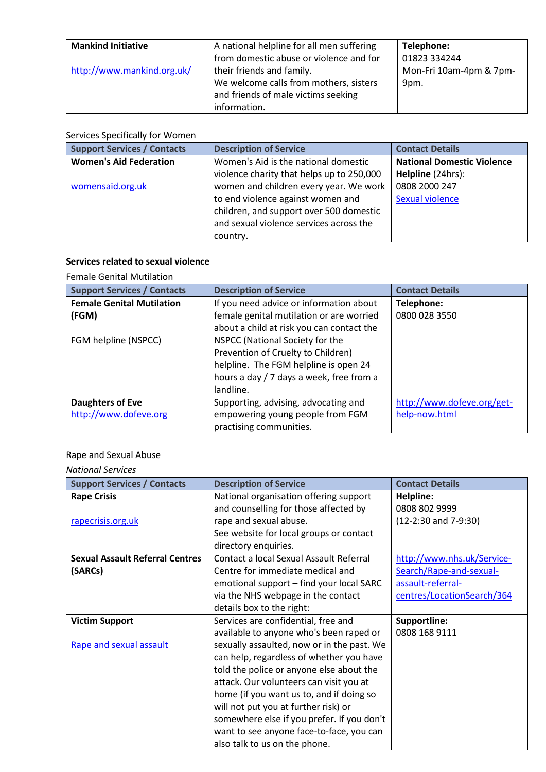| <b>Mankind Initiative</b>  | A national helpline for all men suffering | Telephone:              |
|----------------------------|-------------------------------------------|-------------------------|
|                            | from domestic abuse or violence and for   | 01823 334244            |
| http://www.mankind.org.uk/ | their friends and family.                 | Mon-Fri 10am-4pm & 7pm- |
|                            | We welcome calls from mothers, sisters    | 9pm.                    |
|                            | and friends of male victims seeking       |                         |
|                            | information.                              |                         |

### <span id="page-9-0"></span>Services Specifically for Women

| <b>Support Services / Contacts</b> | <b>Description of Service</b>             | <b>Contact Details</b>            |
|------------------------------------|-------------------------------------------|-----------------------------------|
| <b>Women's Aid Federation</b>      | Women's Aid is the national domestic      | <b>National Domestic Violence</b> |
|                                    | violence charity that helps up to 250,000 | Helpline (24hrs):                 |
| womensaid.org.uk                   | women and children every year. We work    | 0808 2000 247                     |
|                                    | to end violence against women and         | <b>Sexual violence</b>            |
|                                    | children, and support over 500 domestic   |                                   |
|                                    | and sexual violence services across the   |                                   |
|                                    | country.                                  |                                   |

### <span id="page-9-1"></span>**Services related to sexual violence**

#### <span id="page-9-2"></span>Female Genital Mutilation

| <b>Support Services / Contacts</b>                                | <b>Description of Service</b>                                                                                                                                                                                                                                                                  | <b>Contact Details</b>      |
|-------------------------------------------------------------------|------------------------------------------------------------------------------------------------------------------------------------------------------------------------------------------------------------------------------------------------------------------------------------------------|-----------------------------|
| <b>Female Genital Mutilation</b><br>(FGM)<br>FGM helpline (NSPCC) | If you need advice or information about<br>female genital mutilation or are worried<br>about a child at risk you can contact the<br>NSPCC (National Society for the<br>Prevention of Cruelty to Children)<br>helpline. The FGM helpline is open 24<br>hours a day / 7 days a week, free from a | Telephone:<br>0800 028 3550 |
|                                                                   | landline.                                                                                                                                                                                                                                                                                      |                             |
| Daughters of Eve                                                  | Supporting, advising, advocating and                                                                                                                                                                                                                                                           | http://www.dofeve.org/get-  |
| http://www.dofeve.org                                             | empowering young people from FGM<br>practising communities.                                                                                                                                                                                                                                    | help-now.html               |

# <span id="page-9-3"></span>Rape and Sexual Abuse

#### *National Services*

| <b>Support Services / Contacts</b>     | <b>Description of Service</b>              | <b>Contact Details</b>     |
|----------------------------------------|--------------------------------------------|----------------------------|
| <b>Rape Crisis</b>                     | National organisation offering support     | Helpline:                  |
|                                        | and counselling for those affected by      | 0808 802 9999              |
| rapecrisis.org.uk                      | rape and sexual abuse.                     | $(12-2:30$ and $7-9:30)$   |
|                                        | See website for local groups or contact    |                            |
|                                        | directory enquiries.                       |                            |
| <b>Sexual Assault Referral Centres</b> | Contact a local Sexual Assault Referral    | http://www.nhs.uk/Service- |
| (SARCs)                                | Centre for immediate medical and           | Search/Rape-and-sexual-    |
|                                        | emotional support - find your local SARC   | assault-referral-          |
|                                        | via the NHS webpage in the contact         | centres/LocationSearch/364 |
|                                        | details box to the right:                  |                            |
| <b>Victim Support</b>                  | Services are confidential, free and        | Supportline:               |
|                                        | available to anyone who's been raped or    | 0808 168 9111              |
| Rape and sexual assault                | sexually assaulted, now or in the past. We |                            |
|                                        | can help, regardless of whether you have   |                            |
|                                        | told the police or anyone else about the   |                            |
|                                        | attack. Our volunteers can visit you at    |                            |
|                                        | home (if you want us to, and if doing so   |                            |
|                                        | will not put you at further risk) or       |                            |
|                                        | somewhere else if you prefer. If you don't |                            |
|                                        | want to see anyone face-to-face, you can   |                            |
|                                        | also talk to us on the phone.              |                            |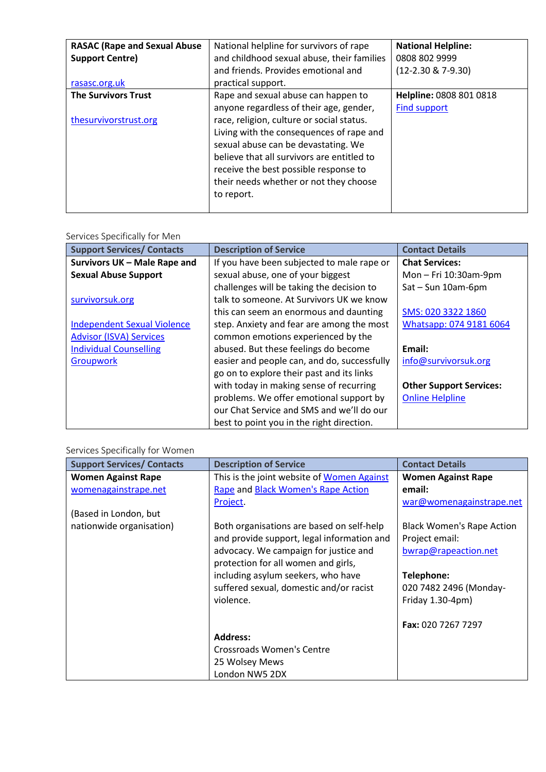| <b>RASAC (Rape and Sexual Abuse</b> | National helpline for survivors of rape    | <b>National Helpline:</b> |
|-------------------------------------|--------------------------------------------|---------------------------|
| <b>Support Centre)</b>              | and childhood sexual abuse, their families | 0808 802 9999             |
|                                     | and friends. Provides emotional and        | $(12-2.30 \& 7-9.30)$     |
| rasasc.org.uk                       | practical support.                         |                           |
| <b>The Survivors Trust</b>          | Rape and sexual abuse can happen to        | Helpline: 0808 801 0818   |
|                                     | anyone regardless of their age, gender,    | <b>Find support</b>       |
| thesurvivorstrust.org               | race, religion, culture or social status.  |                           |
|                                     | Living with the consequences of rape and   |                           |
|                                     | sexual abuse can be devastating. We        |                           |
|                                     | believe that all survivors are entitled to |                           |
|                                     | receive the best possible response to      |                           |
|                                     | their needs whether or not they choose     |                           |
|                                     | to report.                                 |                           |
|                                     |                                            |                           |

#### Services Specifically for Men

| <b>Support Services/ Contacts</b>  | <b>Description of Service</b>               | <b>Contact Details</b>         |
|------------------------------------|---------------------------------------------|--------------------------------|
| Survivors UK - Male Rape and       | If you have been subjected to male rape or  | <b>Chat Services:</b>          |
| <b>Sexual Abuse Support</b>        | sexual abuse, one of your biggest           | Mon - Fri 10:30am-9pm          |
|                                    | challenges will be taking the decision to   | Sat - Sun 10am-6pm             |
| survivorsuk.org                    | talk to someone. At Survivors UK we know    |                                |
|                                    | this can seem an enormous and daunting      | SMS: 020 3322 1860             |
| <b>Independent Sexual Violence</b> | step. Anxiety and fear are among the most   | Whatsapp: 074 9181 6064        |
| <b>Advisor (ISVA) Services</b>     | common emotions experienced by the          |                                |
| <b>Individual Counselling</b>      | abused. But these feelings do become        | Email:                         |
| <b>Groupwork</b>                   | easier and people can, and do, successfully | info@survivorsuk.org           |
|                                    | go on to explore their past and its links   |                                |
|                                    | with today in making sense of recurring     | <b>Other Support Services:</b> |
|                                    | problems. We offer emotional support by     | <b>Online Helpline</b>         |
|                                    | our Chat Service and SMS and we'll do our   |                                |
|                                    | best to point you in the right direction.   |                                |

# Services Specifically for Women

| <b>Support Services/ Contacts</b> | <b>Description of Service</b>              | <b>Contact Details</b>           |
|-----------------------------------|--------------------------------------------|----------------------------------|
| <b>Women Against Rape</b>         | This is the joint website of Women Against | <b>Women Against Rape</b>        |
| womenagainstrape.net              | Rape and Black Women's Rape Action         | email:                           |
|                                   | Project.                                   | war@womenagainstrape.net         |
| (Based in London, but             |                                            |                                  |
| nationwide organisation)          | Both organisations are based on self-help  | <b>Black Women's Rape Action</b> |
|                                   | and provide support, legal information and | Project email:                   |
|                                   | advocacy. We campaign for justice and      | bwrap@rapeaction.net             |
|                                   | protection for all women and girls,        |                                  |
|                                   | including asylum seekers, who have         | Telephone:                       |
|                                   | suffered sexual, domestic and/or racist    | 020 7482 2496 (Monday-           |
|                                   | violence.                                  | Friday 1.30-4pm)                 |
|                                   |                                            |                                  |
|                                   |                                            | Fax: 020 7267 7297               |
|                                   | <b>Address:</b>                            |                                  |
|                                   | Crossroads Women's Centre                  |                                  |
|                                   | 25 Wolsey Mews                             |                                  |
|                                   | London NW5 2DX                             |                                  |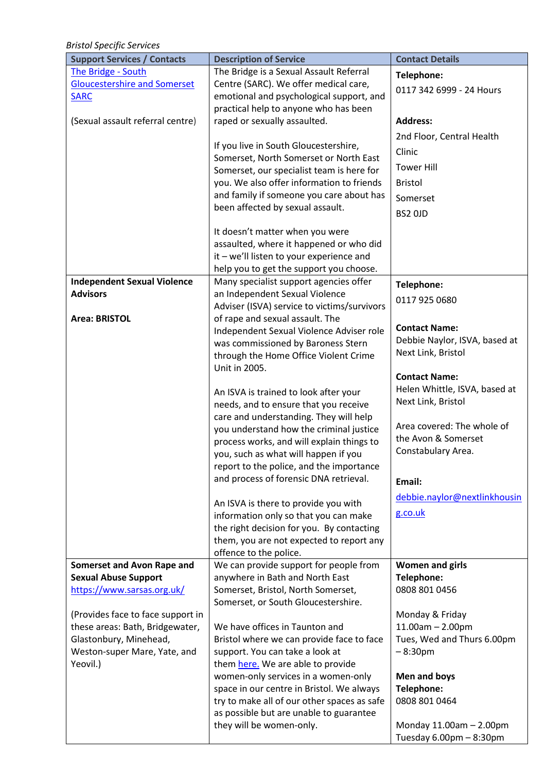*Bristol Specific Services* 

| <b>Support Services / Contacts</b>                     | <b>Description of Service</b>                                                      | <b>Contact Details</b>                  |
|--------------------------------------------------------|------------------------------------------------------------------------------------|-----------------------------------------|
| The Bridge - South                                     | The Bridge is a Sexual Assault Referral                                            | Telephone:                              |
| <b>Gloucestershire and Somerset</b>                    | Centre (SARC). We offer medical care,                                              | 0117 342 6999 - 24 Hours                |
| <b>SARC</b>                                            | emotional and psychological support, and                                           |                                         |
| (Sexual assault referral centre)                       | practical help to anyone who has been<br>raped or sexually assaulted.              | <b>Address:</b>                         |
|                                                        |                                                                                    | 2nd Floor, Central Health               |
|                                                        | If you live in South Gloucestershire,                                              |                                         |
|                                                        | Somerset, North Somerset or North East                                             | Clinic                                  |
|                                                        | Somerset, our specialist team is here for                                          | <b>Tower Hill</b>                       |
|                                                        | you. We also offer information to friends                                          | <b>Bristol</b>                          |
|                                                        | and family if someone you care about has<br>been affected by sexual assault.       | Somerset                                |
|                                                        |                                                                                    | BS2 OJD                                 |
|                                                        | It doesn't matter when you were                                                    |                                         |
|                                                        | assaulted, where it happened or who did                                            |                                         |
|                                                        | it - we'll listen to your experience and                                           |                                         |
|                                                        | help you to get the support you choose.                                            |                                         |
| <b>Independent Sexual Violence</b><br><b>Advisors</b>  | Many specialist support agencies offer<br>an Independent Sexual Violence           | Telephone:                              |
|                                                        | Adviser (ISVA) service to victims/survivors                                        | 0117 925 0680                           |
| Area: BRISTOL                                          | of rape and sexual assault. The                                                    |                                         |
|                                                        | Independent Sexual Violence Adviser role                                           | <b>Contact Name:</b>                    |
|                                                        | was commissioned by Baroness Stern                                                 | Debbie Naylor, ISVA, based at           |
|                                                        | through the Home Office Violent Crime                                              | Next Link, Bristol                      |
|                                                        | Unit in 2005.                                                                      | <b>Contact Name:</b>                    |
|                                                        | An ISVA is trained to look after your                                              | Helen Whittle, ISVA, based at           |
|                                                        | needs, and to ensure that you receive                                              | Next Link, Bristol                      |
|                                                        | care and understanding. They will help                                             |                                         |
|                                                        | you understand how the criminal justice                                            | Area covered: The whole of              |
|                                                        | process works, and will explain things to                                          | the Avon & Somerset                     |
|                                                        | you, such as what will happen if you                                               | Constabulary Area.                      |
|                                                        | report to the police, and the importance<br>and process of forensic DNA retrieval. |                                         |
|                                                        |                                                                                    | Email:                                  |
|                                                        | An ISVA is there to provide you with                                               | debbie.naylor@nextlinkhousin            |
|                                                        | information only so that you can make                                              | g.co.uk                                 |
|                                                        | the right decision for you. By contacting                                          |                                         |
|                                                        | them, you are not expected to report any                                           |                                         |
| <b>Somerset and Avon Rape and</b>                      | offence to the police.<br>We can provide support for people from                   | <b>Women and girls</b>                  |
| <b>Sexual Abuse Support</b>                            | anywhere in Bath and North East                                                    | Telephone:                              |
| https://www.sarsas.org.uk/                             | Somerset, Bristol, North Somerset,                                                 | 0808 801 0456                           |
|                                                        | Somerset, or South Gloucestershire.                                                |                                         |
| (Provides face to face support in                      |                                                                                    | Monday & Friday                         |
| these areas: Bath, Bridgewater,                        | We have offices in Taunton and                                                     | $11.00am - 2.00pm$                      |
| Glastonbury, Minehead,<br>Weston-super Mare, Yate, and | Bristol where we can provide face to face<br>support. You can take a look at       | Tues, Wed and Thurs 6.00pm<br>$-8:30pm$ |
| Yeovil.)                                               | them here. We are able to provide                                                  |                                         |
|                                                        | women-only services in a women-only                                                | Men and boys                            |
|                                                        | space in our centre in Bristol. We always                                          | Telephone:                              |
|                                                        | try to make all of our other spaces as safe                                        | 0808 801 0464                           |
|                                                        | as possible but are unable to guarantee                                            |                                         |
|                                                        | they will be women-only.                                                           | Monday 11.00am - 2.00pm                 |
|                                                        |                                                                                    | Tuesday 6.00pm - 8:30pm                 |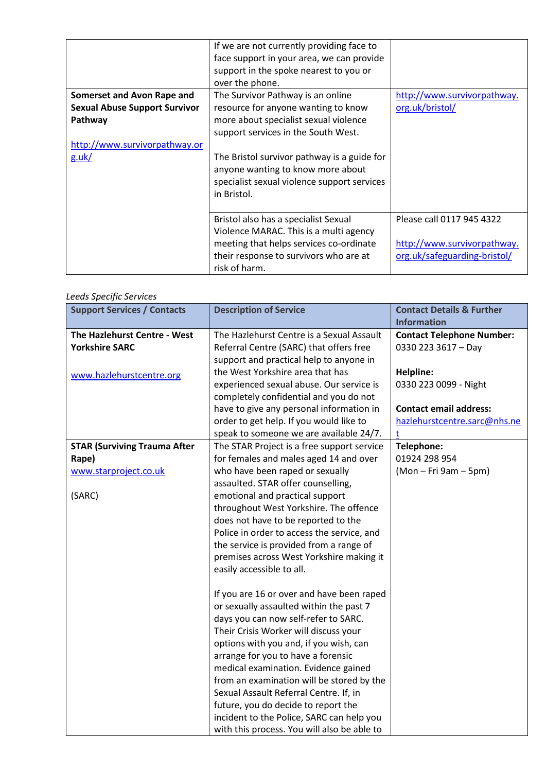| <b>Somerset and Avon Rape and</b><br><b>Sexual Abuse Support Survivor</b><br>Pathway<br>http://www.survivorpathway.or<br>g.uk/ | If we are not currently providing face to<br>face support in your area, we can provide<br>support in the spoke nearest to you or<br>over the phone.<br>The Survivor Pathway is an online<br>resource for anyone wanting to know<br>more about specialist sexual violence<br>support services in the South West.<br>The Bristol survivor pathway is a guide for<br>anyone wanting to know more about<br>specialist sexual violence support services<br>in Bristol. | http://www.survivorpathway.<br>org.uk/bristol/                                           |
|--------------------------------------------------------------------------------------------------------------------------------|-------------------------------------------------------------------------------------------------------------------------------------------------------------------------------------------------------------------------------------------------------------------------------------------------------------------------------------------------------------------------------------------------------------------------------------------------------------------|------------------------------------------------------------------------------------------|
|                                                                                                                                | Bristol also has a specialist Sexual<br>Violence MARAC. This is a multi agency<br>meeting that helps services co-ordinate<br>their response to survivors who are at<br>risk of harm.                                                                                                                                                                                                                                                                              | Please call 0117 945 4322<br>http://www.survivorpathway.<br>org.uk/safeguarding-bristol/ |

#### *Leeds Specific Services*

| eeus speer, re ser vrees<br><b>Support Services / Contacts</b> | <b>Description of Service</b>                                                                                                                                                                                                                                                                                                                                                                                                                                                                                           | <b>Contact Details &amp; Further</b><br><b>Information</b>         |
|----------------------------------------------------------------|-------------------------------------------------------------------------------------------------------------------------------------------------------------------------------------------------------------------------------------------------------------------------------------------------------------------------------------------------------------------------------------------------------------------------------------------------------------------------------------------------------------------------|--------------------------------------------------------------------|
| The Hazlehurst Centre - West<br><b>Yorkshire SARC</b>          | The Hazlehurst Centre is a Sexual Assault<br>Referral Centre (SARC) that offers free<br>support and practical help to anyone in                                                                                                                                                                                                                                                                                                                                                                                         | <b>Contact Telephone Number:</b><br>0330 223 3617 - Day            |
| www.hazlehurstcentre.org                                       | the West Yorkshire area that has<br>experienced sexual abuse. Our service is<br>completely confidential and you do not                                                                                                                                                                                                                                                                                                                                                                                                  | <b>Helpline:</b><br>0330 223 0099 - Night                          |
|                                                                | have to give any personal information in<br>order to get help. If you would like to<br>speak to someone we are available 24/7.                                                                                                                                                                                                                                                                                                                                                                                          | <b>Contact email address:</b><br>hazlehurstcentre.sarc@nhs.ne<br>t |
| <b>STAR (Surviving Trauma After</b>                            | The STAR Project is a free support service                                                                                                                                                                                                                                                                                                                                                                                                                                                                              | Telephone:                                                         |
| Rape)                                                          | for females and males aged 14 and over                                                                                                                                                                                                                                                                                                                                                                                                                                                                                  | 01924 298 954                                                      |
| www.starproject.co.uk                                          | who have been raped or sexually                                                                                                                                                                                                                                                                                                                                                                                                                                                                                         | (Mon - Fri 9am - 5pm)                                              |
| (SARC)                                                         | assaulted. STAR offer counselling,<br>emotional and practical support<br>throughout West Yorkshire. The offence<br>does not have to be reported to the<br>Police in order to access the service, and<br>the service is provided from a range of<br>premises across West Yorkshire making it<br>easily accessible to all.                                                                                                                                                                                                |                                                                    |
|                                                                | If you are 16 or over and have been raped<br>or sexually assaulted within the past 7<br>days you can now self-refer to SARC.<br>Their Crisis Worker will discuss your<br>options with you and, if you wish, can<br>arrange for you to have a forensic<br>medical examination. Evidence gained<br>from an examination will be stored by the<br>Sexual Assault Referral Centre. If, in<br>future, you do decide to report the<br>incident to the Police, SARC can help you<br>with this process. You will also be able to |                                                                    |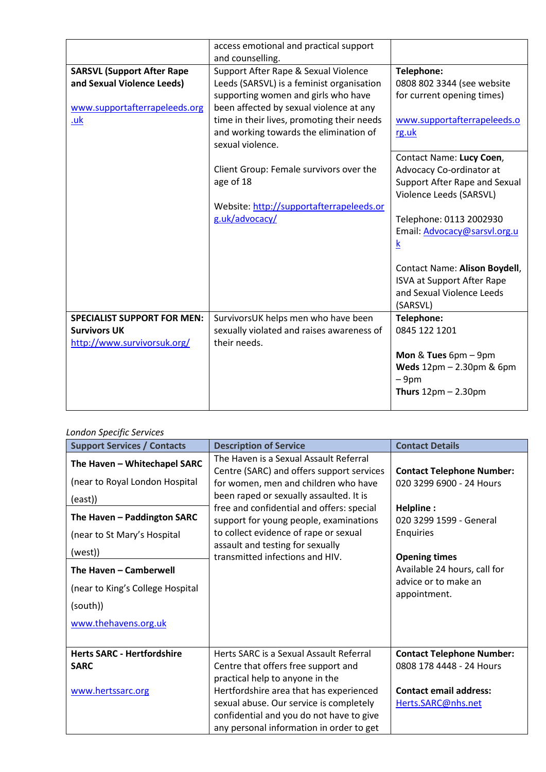|                                    | access emotional and practical support     |                                      |
|------------------------------------|--------------------------------------------|--------------------------------------|
|                                    | and counselling.                           |                                      |
| <b>SARSVL (Support After Rape</b>  | Support After Rape & Sexual Violence       | Telephone:                           |
| and Sexual Violence Leeds)         | Leeds (SARSVL) is a feminist organisation  | 0808 802 3344 (see website           |
|                                    | supporting women and girls who have        | for current opening times)           |
| www.supportafterrapeleeds.org      | been affected by sexual violence at any    |                                      |
| .uk                                | time in their lives, promoting their needs | www.supportafterrapeleeds.o          |
|                                    | and working towards the elimination of     | rg.uk                                |
|                                    | sexual violence.                           |                                      |
|                                    |                                            | Contact Name: Lucy Coen,             |
|                                    | Client Group: Female survivors over the    | Advocacy Co-ordinator at             |
|                                    | age of 18                                  | Support After Rape and Sexual        |
|                                    |                                            | Violence Leeds (SARSVL)              |
|                                    | Website: http://supportafterrapeleeds.or   |                                      |
|                                    | g.uk/advocacy/                             | Telephone: 0113 2002930              |
|                                    |                                            | Email: Advocacy@sarsvl.org.u         |
|                                    |                                            | $\underline{k}$                      |
|                                    |                                            |                                      |
|                                    |                                            | <b>Contact Name: Alison Boydell,</b> |
|                                    |                                            | <b>ISVA at Support After Rape</b>    |
|                                    |                                            | and Sexual Violence Leeds            |
|                                    |                                            | (SARSVL)                             |
| <b>SPECIALIST SUPPORT FOR MEN:</b> | SurvivorsUK helps men who have been        | <b>Telephone:</b>                    |
| <b>Survivors UK</b>                | sexually violated and raises awareness of  | 0845 122 1201                        |
| http://www.survivorsuk.org/        | their needs.                               |                                      |
|                                    |                                            | Mon & Tues 6pm - 9pm                 |
|                                    |                                            | Weds 12pm - 2.30pm & 6pm             |
|                                    |                                            | $-9pm$                               |
|                                    |                                            | Thurs $12pm - 2.30pm$                |
|                                    |                                            |                                      |

# *London Specific Services*

| <b>Support Services / Contacts</b>                             | <b>Description of Service</b>                                                                                                                                              | <b>Contact Details</b>                                       |
|----------------------------------------------------------------|----------------------------------------------------------------------------------------------------------------------------------------------------------------------------|--------------------------------------------------------------|
| The Haven - Whitechapel SARC<br>(near to Royal London Hospital | The Haven is a Sexual Assault Referral<br>Centre (SARC) and offers support services<br>for women, men and children who have                                                | <b>Contact Telephone Number:</b><br>020 3299 6900 - 24 Hours |
| (east))                                                        | been raped or sexually assaulted. It is                                                                                                                                    |                                                              |
| The Haven - Paddington SARC<br>(near to St Mary's Hospital     | free and confidential and offers: special<br>support for young people, examinations<br>to collect evidence of rape or sexual                                               | Helpline:<br>020 3299 1599 - General<br>Enquiries            |
| (west))                                                        | assault and testing for sexually<br>transmitted infections and HIV.                                                                                                        | <b>Opening times</b>                                         |
| The Haven - Camberwell                                         |                                                                                                                                                                            | Available 24 hours, call for<br>advice or to make an         |
| (near to King's College Hospital                               |                                                                                                                                                                            | appointment.                                                 |
| (south))                                                       |                                                                                                                                                                            |                                                              |
| www.thehavens.org.uk                                           |                                                                                                                                                                            |                                                              |
| <b>Herts SARC - Hertfordshire</b><br><b>SARC</b>               | Herts SARC is a Sexual Assault Referral<br>Centre that offers free support and<br>practical help to anyone in the                                                          | <b>Contact Telephone Number:</b><br>0808 178 4448 - 24 Hours |
| www.hertssarc.org                                              | Hertfordshire area that has experienced<br>sexual abuse. Our service is completely<br>confidential and you do not have to give<br>any personal information in order to get | <b>Contact email address:</b><br>Herts.SARC@nhs.net          |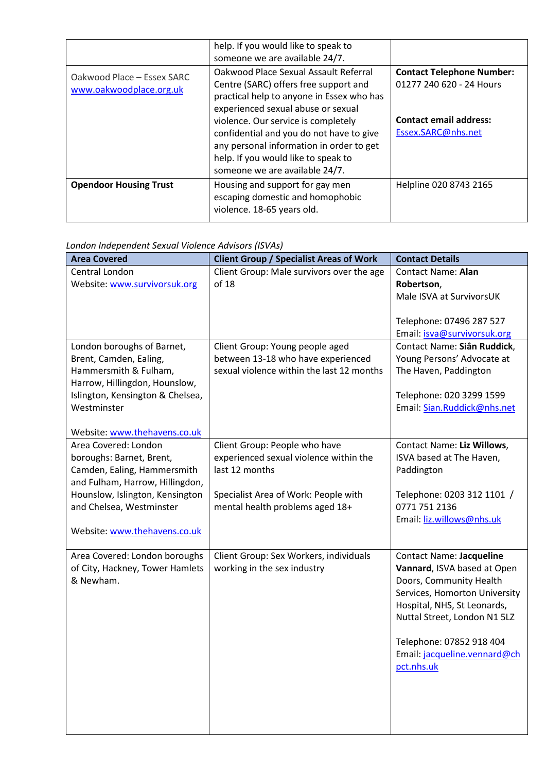|                                                       | help. If you would like to speak to<br>someone we are available 24/7.                                                                                                                                                                                                                                                                                                     |                                                                                                                     |
|-------------------------------------------------------|---------------------------------------------------------------------------------------------------------------------------------------------------------------------------------------------------------------------------------------------------------------------------------------------------------------------------------------------------------------------------|---------------------------------------------------------------------------------------------------------------------|
| Oakwood Place - Essex SARC<br>www.oakwoodplace.org.uk | Oakwood Place Sexual Assault Referral<br>Centre (SARC) offers free support and<br>practical help to anyone in Essex who has<br>experienced sexual abuse or sexual<br>violence. Our service is completely<br>confidential and you do not have to give<br>any personal information in order to get<br>help. If you would like to speak to<br>someone we are available 24/7. | <b>Contact Telephone Number:</b><br>01277 240 620 - 24 Hours<br><b>Contact email address:</b><br>Essex.SARC@nhs.net |
| <b>Opendoor Housing Trust</b>                         | Housing and support for gay men<br>escaping domestic and homophobic<br>violence. 18-65 years old.                                                                                                                                                                                                                                                                         | Helpline 020 8743 2165                                                                                              |

*London Independent Sexual Violence Advisors (ISVAs)* 

| <b>Area Covered</b>                                            | <b>Client Group / Specialist Areas of Work</b>           | <b>Contact Details</b>                                      |
|----------------------------------------------------------------|----------------------------------------------------------|-------------------------------------------------------------|
| Central London                                                 | Client Group: Male survivors over the age                | <b>Contact Name: Alan</b>                                   |
| Website: www.survivorsuk.org                                   | of 18                                                    | Robertson,                                                  |
|                                                                |                                                          | Male ISVA at SurvivorsUK                                    |
|                                                                |                                                          |                                                             |
|                                                                |                                                          | Telephone: 07496 287 527<br>Email: isva@survivorsuk.org     |
| London boroughs of Barnet,                                     | Client Group: Young people aged                          | Contact Name: Siân Ruddick,                                 |
| Brent, Camden, Ealing,                                         | between 13-18 who have experienced                       | Young Persons' Advocate at                                  |
| Hammersmith & Fulham,                                          | sexual violence within the last 12 months                | The Haven, Paddington                                       |
| Harrow, Hillingdon, Hounslow,                                  |                                                          |                                                             |
| Islington, Kensington & Chelsea,                               |                                                          | Telephone: 020 3299 1599                                    |
| Westminster                                                    |                                                          | Email: Sian.Ruddick@nhs.net                                 |
|                                                                |                                                          |                                                             |
| Website: www.thehavens.co.uk                                   |                                                          |                                                             |
| Area Covered: London                                           | Client Group: People who have                            | <b>Contact Name: Liz Willows,</b>                           |
| boroughs: Barnet, Brent,                                       | experienced sexual violence within the<br>last 12 months | ISVA based at The Haven,                                    |
| Camden, Ealing, Hammersmith<br>and Fulham, Harrow, Hillingdon, |                                                          | Paddington                                                  |
| Hounslow, Islington, Kensington                                | Specialist Area of Work: People with                     | Telephone: 0203 312 1101 /                                  |
| and Chelsea, Westminster                                       | mental health problems aged 18+                          | 0771 751 2136                                               |
|                                                                |                                                          | Email: liz.willows@nhs.uk                                   |
| Website: www.thehavens.co.uk                                   |                                                          |                                                             |
|                                                                |                                                          |                                                             |
| Area Covered: London boroughs                                  | Client Group: Sex Workers, individuals                   | <b>Contact Name: Jacqueline</b>                             |
| of City, Hackney, Tower Hamlets                                | working in the sex industry                              | Vannard, ISVA based at Open                                 |
| & Newham.                                                      |                                                          | Doors, Community Health                                     |
|                                                                |                                                          | Services, Homorton University                               |
|                                                                |                                                          | Hospital, NHS, St Leonards,<br>Nuttal Street, London N1 5LZ |
|                                                                |                                                          |                                                             |
|                                                                |                                                          | Telephone: 07852 918 404                                    |
|                                                                |                                                          | Email: jacqueline.vennard@ch                                |
|                                                                |                                                          | pct.nhs.uk                                                  |
|                                                                |                                                          |                                                             |
|                                                                |                                                          |                                                             |
|                                                                |                                                          |                                                             |
|                                                                |                                                          |                                                             |
|                                                                |                                                          |                                                             |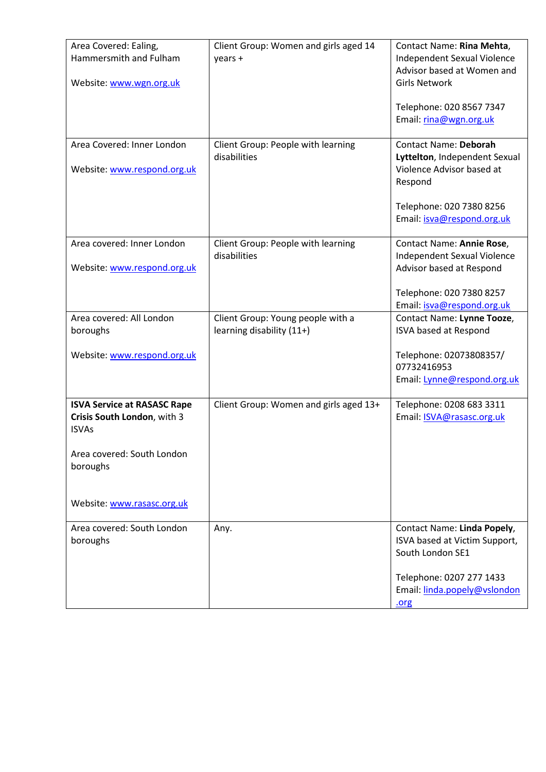| Area Covered: Ealing,<br>Hammersmith and Fulham                                   | Client Group: Women and girls aged 14<br>years +               | Contact Name: Rina Mehta,<br>Independent Sexual Violence<br>Advisor based at Women and |
|-----------------------------------------------------------------------------------|----------------------------------------------------------------|----------------------------------------------------------------------------------------|
| Website: www.wgn.org.uk                                                           |                                                                | <b>Girls Network</b>                                                                   |
|                                                                                   |                                                                | Telephone: 020 8567 7347<br>Email: rina@wgn.org.uk                                     |
| Area Covered: Inner London                                                        | Client Group: People with learning                             | <b>Contact Name: Deborah</b>                                                           |
| Website: www.respond.org.uk                                                       | disabilities                                                   | Lyttelton, Independent Sexual<br>Violence Advisor based at<br>Respond                  |
|                                                                                   |                                                                | Telephone: 020 7380 8256<br>Email: isva@respond.org.uk                                 |
| Area covered: Inner London                                                        | Client Group: People with learning                             | Contact Name: Annie Rose,                                                              |
| Website: www.respond.org.uk                                                       | disabilities                                                   | Independent Sexual Violence<br>Advisor based at Respond                                |
|                                                                                   |                                                                | Telephone: 020 7380 8257                                                               |
|                                                                                   |                                                                | Email: isva@respond.org.uk                                                             |
| Area covered: All London<br>boroughs                                              | Client Group: Young people with a<br>learning disability (11+) | Contact Name: Lynne Tooze,<br>ISVA based at Respond                                    |
|                                                                                   |                                                                |                                                                                        |
| Website: www.respond.org.uk                                                       |                                                                | Telephone: 02073808357/<br>07732416953                                                 |
|                                                                                   |                                                                | Email: Lynne@respond.org.uk                                                            |
| <b>ISVA Service at RASASC Rape</b><br>Crisis South London, with 3<br><b>ISVAs</b> | Client Group: Women and girls aged 13+                         | Telephone: 0208 683 3311<br>Email: <b>ISVA@rasasc.org.uk</b>                           |
| Area covered: South London<br>boroughs                                            |                                                                |                                                                                        |
| Website: www.rasasc.org.uk                                                        |                                                                |                                                                                        |
| Area covered: South London<br>boroughs                                            | Any.                                                           | Contact Name: Linda Popely,<br>ISVA based at Victim Support,<br>South London SE1       |
|                                                                                   |                                                                | Telephone: 0207 277 1433<br>Email: linda.popely@vslondon<br><u>.org</u>                |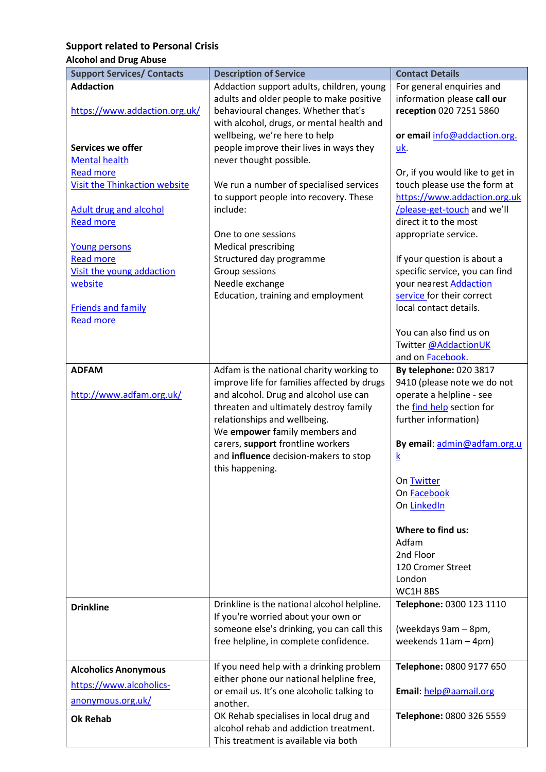# <span id="page-16-0"></span>**Support related to Personal Crisis**

# <span id="page-16-1"></span>**Alcohol and Drug Abuse**

| <b>Support Services/ Contacts</b>                                                         | <b>Description of Service</b>                                                                                                                                                                                                                                                                                                                | <b>Contact Details</b>                                                                                                                                                                                                                                                                                                    |
|-------------------------------------------------------------------------------------------|----------------------------------------------------------------------------------------------------------------------------------------------------------------------------------------------------------------------------------------------------------------------------------------------------------------------------------------------|---------------------------------------------------------------------------------------------------------------------------------------------------------------------------------------------------------------------------------------------------------------------------------------------------------------------------|
| <b>Addaction</b>                                                                          | Addaction support adults, children, young                                                                                                                                                                                                                                                                                                    | For general enquiries and                                                                                                                                                                                                                                                                                                 |
| https://www.addaction.org.uk/                                                             | adults and older people to make positive<br>behavioural changes. Whether that's<br>with alcohol, drugs, or mental health and                                                                                                                                                                                                                 | information please call our<br>reception 020 7251 5860                                                                                                                                                                                                                                                                    |
| Services we offer<br><b>Mental health</b>                                                 | wellbeing, we're here to help<br>people improve their lives in ways they<br>never thought possible.                                                                                                                                                                                                                                          | or email info@addaction.org.<br><u>uk</u>                                                                                                                                                                                                                                                                                 |
| <b>Read more</b>                                                                          |                                                                                                                                                                                                                                                                                                                                              | Or, if you would like to get in                                                                                                                                                                                                                                                                                           |
| <b>Visit the Thinkaction website</b><br><b>Adult drug and alcohol</b><br><b>Read more</b> | We run a number of specialised services<br>to support people into recovery. These<br>include:<br>One to one sessions                                                                                                                                                                                                                         | touch please use the form at<br>https://www.addaction.org.uk<br>/please-get-touch and we'll<br>direct it to the most<br>appropriate service.                                                                                                                                                                              |
| Young persons                                                                             | <b>Medical prescribing</b>                                                                                                                                                                                                                                                                                                                   |                                                                                                                                                                                                                                                                                                                           |
| <b>Read more</b><br>Visit the young addaction<br>website<br><b>Friends and family</b>     | Structured day programme<br>Group sessions<br>Needle exchange<br>Education, training and employment                                                                                                                                                                                                                                          | If your question is about a<br>specific service, you can find<br>your nearest <b>Addaction</b><br>service for their correct<br>local contact details.                                                                                                                                                                     |
| <b>Read more</b>                                                                          |                                                                                                                                                                                                                                                                                                                                              | You can also find us on<br>Twitter @AddactionUK<br>and on Facebook.                                                                                                                                                                                                                                                       |
| <b>ADFAM</b><br>http://www.adfam.org.uk/                                                  | Adfam is the national charity working to<br>improve life for families affected by drugs<br>and alcohol. Drug and alcohol use can<br>threaten and ultimately destroy family<br>relationships and wellbeing.<br>We empower family members and<br>carers, support frontline workers<br>and influence decision-makers to stop<br>this happening. | By telephone: 020 3817<br>9410 (please note we do not<br>operate a helpline - see<br>the find help section for<br>further information)<br>By email: admin@adfam.org.u<br>$\underline{k}$<br>On Twitter<br>On Facebook<br>On LinkedIn<br>Where to find us:<br>Adfam<br>2nd Floor<br>120 Cromer Street<br>London<br>WC1H8BS |
| <b>Drinkline</b>                                                                          | Drinkline is the national alcohol helpline.<br>If you're worried about your own or<br>someone else's drinking, you can call this<br>free helpline, in complete confidence.                                                                                                                                                                   | Telephone: 0300 123 1110<br>(weekdays 9am - 8pm,<br>weekends $11am - 4pm$ )                                                                                                                                                                                                                                               |
| <b>Alcoholics Anonymous</b><br>https://www.alcoholics-<br>anonymous.org.uk/               | If you need help with a drinking problem<br>either phone our national helpline free,<br>or email us. It's one alcoholic talking to<br>another.                                                                                                                                                                                               | Telephone: 0800 9177 650<br>Email: help@aamail.org                                                                                                                                                                                                                                                                        |
| <b>Ok Rehab</b>                                                                           | OK Rehab specialises in local drug and<br>alcohol rehab and addiction treatment.<br>This treatment is available via both                                                                                                                                                                                                                     | Telephone: 0800 326 5559                                                                                                                                                                                                                                                                                                  |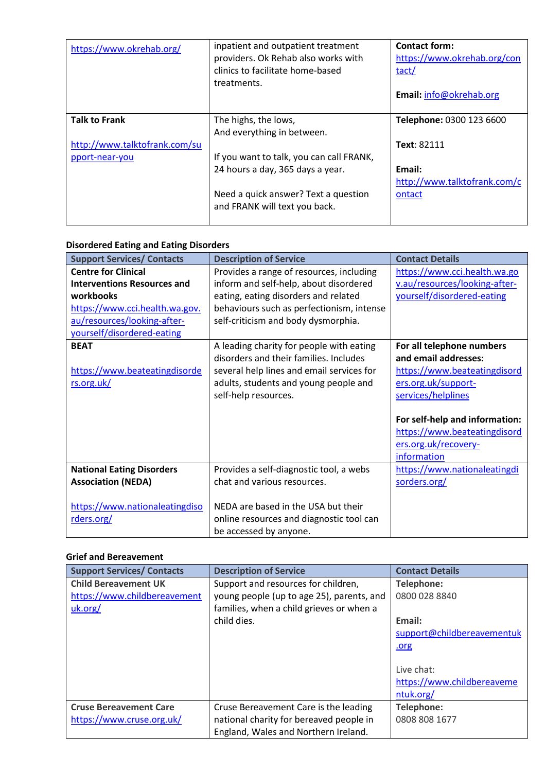| https://www.okrehab.org/      | inpatient and outpatient treatment<br>providers. Ok Rehab also works with<br>clinics to facilitate home-based<br>treatments. | <b>Contact form:</b><br>https://www.okrehab.org/con<br>tact/<br>Email: info@okrehab.org |
|-------------------------------|------------------------------------------------------------------------------------------------------------------------------|-----------------------------------------------------------------------------------------|
| <b>Talk to Frank</b>          | The highs, the lows,                                                                                                         | Telephone: 0300 123 6600                                                                |
|                               | And everything in between.                                                                                                   |                                                                                         |
| http://www.talktofrank.com/su |                                                                                                                              | Text: 82111                                                                             |
| pport-near-you                | If you want to talk, you can call FRANK,                                                                                     |                                                                                         |
|                               | 24 hours a day, 365 days a year.                                                                                             | Email:                                                                                  |
|                               |                                                                                                                              | http://www.talktofrank.com/c                                                            |
|                               | Need a quick answer? Text a question                                                                                         | ontact                                                                                  |
|                               | and FRANK will text you back.                                                                                                |                                                                                         |
|                               |                                                                                                                              |                                                                                         |

#### <span id="page-17-0"></span>**Disordered Eating and Eating Disorders**

| <b>Support Services/ Contacts</b>                                                                                                                                            | <b>Description of Service</b>                                                                                                                                                                                  | <b>Contact Details</b>                                                                                                                                                                                                                  |
|------------------------------------------------------------------------------------------------------------------------------------------------------------------------------|----------------------------------------------------------------------------------------------------------------------------------------------------------------------------------------------------------------|-----------------------------------------------------------------------------------------------------------------------------------------------------------------------------------------------------------------------------------------|
| <b>Centre for Clinical</b><br><b>Interventions Resources and</b><br>workbooks<br>https://www.cci.health.wa.gov.<br>au/resources/looking-after-<br>yourself/disordered-eating | Provides a range of resources, including<br>inform and self-help, about disordered<br>eating, eating disorders and related<br>behaviours such as perfectionism, intense<br>self-criticism and body dysmorphia. | https://www.cci.health.wa.go<br>v.au/resources/looking-after-<br>yourself/disordered-eating                                                                                                                                             |
| <b>BEAT</b><br>https://www.beateatingdisorde<br>rs.org.uk/                                                                                                                   | A leading charity for people with eating<br>disorders and their families. Includes<br>several help lines and email services for<br>adults, students and young people and<br>self-help resources.               | For all telephone numbers<br>and email addresses:<br>https://www.beateatingdisord<br>ers.org.uk/support-<br>services/helplines<br>For self-help and information:<br>https://www.beateatingdisord<br>ers.org.uk/recovery-<br>information |
| <b>National Eating Disorders</b><br><b>Association (NEDA)</b><br>https://www.nationaleatingdiso                                                                              | Provides a self-diagnostic tool, a webs<br>chat and various resources.<br>NEDA are based in the USA but their                                                                                                  | https://www.nationaleatingdi<br>sorders.org/                                                                                                                                                                                            |
| rders.org/                                                                                                                                                                   | online resources and diagnostic tool can<br>be accessed by anyone.                                                                                                                                             |                                                                                                                                                                                                                                         |

#### <span id="page-17-1"></span>**Grief and Bereavement**

| <b>Support Services/ Contacts</b> | <b>Description of Service</b>             | <b>Contact Details</b>     |
|-----------------------------------|-------------------------------------------|----------------------------|
| <b>Child Bereavement UK</b>       | Support and resources for children,       | Telephone:                 |
| https://www.childbereavement      | young people (up to age 25), parents, and | 0800 028 8840              |
| uk.org/                           | families, when a child grieves or when a  |                            |
|                                   | child dies.                               | Email:                     |
|                                   |                                           | support@childbereavementuk |
|                                   |                                           | .org                       |
|                                   |                                           |                            |
|                                   |                                           | Live chat:                 |
|                                   |                                           | https://www.childbereaveme |
|                                   |                                           | ntuk.org/                  |
| <b>Cruse Bereavement Care</b>     | Cruse Bereavement Care is the leading     | Telephone:                 |
| https://www.cruse.org.uk/         | national charity for bereaved people in   | 0808 808 1677              |
|                                   | England, Wales and Northern Ireland.      |                            |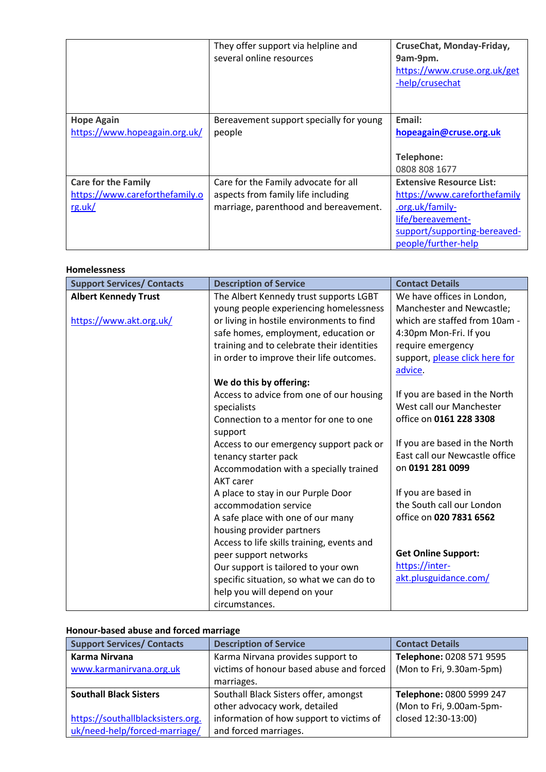|                                                    | They offer support via helpline and<br>several online resources | CruseChat, Monday-Friday,<br>9am-9pm.<br>https://www.cruse.org.uk/get<br>-help/crusechat |
|----------------------------------------------------|-----------------------------------------------------------------|------------------------------------------------------------------------------------------|
| <b>Hope Again</b><br>https://www.hopeagain.org.uk/ | Bereavement support specially for young<br>people               | Email:<br>hopeagain@cruse.org.uk                                                         |
|                                                    |                                                                 | Telephone:<br>0808 808 1677                                                              |
| <b>Care for the Family</b>                         | Care for the Family advocate for all                            | <b>Extensive Resource List:</b>                                                          |
| https://www.careforthefamily.o                     | aspects from family life including                              | https://www.careforthefamily                                                             |
| rg.uk/                                             | marriage, parenthood and bereavement.                           | .org.uk/family-                                                                          |
|                                                    |                                                                 | life/bereavement-                                                                        |
|                                                    |                                                                 | support/supporting-bereaved-                                                             |
|                                                    |                                                                 | people/further-help                                                                      |

#### <span id="page-18-0"></span>**Homelessness**

| <b>Support Services/ Contacts</b>                      | <b>Description of Service</b>                                                                                                                                                                                                                                   | <b>Contact Details</b>                                                                                                                                                               |
|--------------------------------------------------------|-----------------------------------------------------------------------------------------------------------------------------------------------------------------------------------------------------------------------------------------------------------------|--------------------------------------------------------------------------------------------------------------------------------------------------------------------------------------|
| <b>Albert Kennedy Trust</b><br>https://www.akt.org.uk/ | The Albert Kennedy trust supports LGBT<br>young people experiencing homelessness<br>or living in hostile environments to find<br>safe homes, employment, education or<br>training and to celebrate their identities<br>in order to improve their life outcomes. | We have offices in London,<br>Manchester and Newcastle;<br>which are staffed from 10am -<br>4:30pm Mon-Fri. If you<br>require emergency<br>support, please click here for<br>advice. |
|                                                        | We do this by offering:<br>Access to advice from one of our housing<br>specialists<br>Connection to a mentor for one to one<br>support<br>Access to our emergency support pack or<br>tenancy starter pack<br>Accommodation with a specially trained             | If you are based in the North<br>West call our Manchester<br>office on 0161 228 3308<br>If you are based in the North<br>East call our Newcastle office<br>on 0191 281 0099          |
|                                                        | <b>AKT</b> carer<br>A place to stay in our Purple Door<br>accommodation service<br>A safe place with one of our many<br>housing provider partners<br>Access to life skills training, events and<br>peer support networks<br>Our support is tailored to your own | If you are based in<br>the South call our London<br>office on 020 7831 6562<br><b>Get Online Support:</b><br>https://inter-                                                          |
|                                                        | specific situation, so what we can do to<br>help you will depend on your<br>circumstances.                                                                                                                                                                      | akt.plusguidance.com/                                                                                                                                                                |

# <span id="page-18-1"></span>**Honour-based abuse and forced marriage**

| <b>Support Services/ Contacts</b> | <b>Description of Service</b>            | <b>Contact Details</b>   |
|-----------------------------------|------------------------------------------|--------------------------|
| Karma Nirvana                     | Karma Nirvana provides support to        | Telephone: 0208 571 9595 |
| www.karmanirvana.org.uk           | victims of honour based abuse and forced | (Mon to Fri, 9.30am-5pm) |
|                                   | marriages.                               |                          |
| <b>Southall Black Sisters</b>     | Southall Black Sisters offer, amongst    | Telephone: 0800 5999 247 |
|                                   | other advocacy work, detailed            | (Mon to Fri, 9.00am-5pm- |
| https://southallblacksisters.org. | information of how support to victims of | closed 12:30-13:00)      |
| uk/need-help/forced-marriage/     | and forced marriages.                    |                          |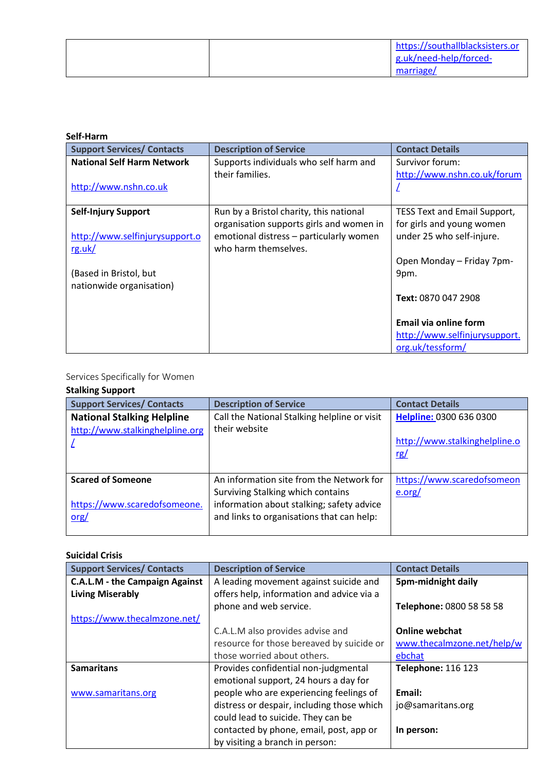|  | https://southallblacksisters.or<br>g.uk/need-help/forced-<br>marriage/ |
|--|------------------------------------------------------------------------|
|--|------------------------------------------------------------------------|

#### <span id="page-19-0"></span>**Self-Harm**

| <b>Support Services/ Contacts</b>                                                                                            | <b>Description of Service</b>                                                                                                                          | <b>Contact Details</b>                                                                                                                                                             |
|------------------------------------------------------------------------------------------------------------------------------|--------------------------------------------------------------------------------------------------------------------------------------------------------|------------------------------------------------------------------------------------------------------------------------------------------------------------------------------------|
| <b>National Self Harm Network</b><br>http://www.nshn.co.uk                                                                   | Supports individuals who self harm and<br>their families.                                                                                              | Survivor forum:<br>http://www.nshn.co.uk/forum                                                                                                                                     |
| <b>Self-Injury Support</b><br>http://www.selfinjurysupport.o<br>rg.uk/<br>(Based in Bristol, but<br>nationwide organisation) | Run by a Bristol charity, this national<br>organisation supports girls and women in<br>emotional distress - particularly women<br>who harm themselves. | <b>TESS Text and Email Support,</b><br>for girls and young women<br>under 25 who self-injure.<br>Open Monday - Friday 7pm-<br>9pm.<br>Text: 0870 047 2908<br>Email via online form |
|                                                                                                                              |                                                                                                                                                        | http://www.selfinjurysupport.<br>org.uk/tessform/                                                                                                                                  |

### Services Specifically for Women

### <span id="page-19-1"></span>**Stalking Support**

| <b>Support Services/ Contacts</b> | <b>Description of Service</b>                | <b>Contact Details</b>        |
|-----------------------------------|----------------------------------------------|-------------------------------|
| <b>National Stalking Helpline</b> | Call the National Stalking helpline or visit | Helpline: 0300 636 0300       |
| http://www.stalkinghelpline.org   | their website                                |                               |
|                                   |                                              | http://www.stalkinghelpline.o |
|                                   |                                              | rg/                           |
|                                   |                                              |                               |
| <b>Scared of Someone</b>          | An information site from the Network for     | https://www.scaredofsomeon    |
|                                   | Surviving Stalking which contains            | e.org/                        |
| https://www.scaredofsomeone.      | information about stalking; safety advice    |                               |
| $org/$                            | and links to organisations that can help:    |                               |
|                                   |                                              |                               |

#### <span id="page-19-2"></span>**Suicidal Crisis**

| <b>Support Services/ Contacts</b>     | <b>Description of Service</b>              | <b>Contact Details</b>     |
|---------------------------------------|--------------------------------------------|----------------------------|
| <b>C.A.L.M - the Campaign Against</b> | A leading movement against suicide and     | 5pm-midnight daily         |
| <b>Living Miserably</b>               | offers help, information and advice via a  |                            |
|                                       | phone and web service.                     | Telephone: 0800 58 58 58   |
| https://www.thecalmzone.net/          |                                            |                            |
|                                       | C.A.L.M also provides advise and           | <b>Online webchat</b>      |
|                                       | resource for those bereaved by suicide or  | www.thecalmzone.net/help/w |
|                                       | those worried about others.                | ebchat                     |
| <b>Samaritans</b>                     | Provides confidential non-judgmental       | <b>Telephone: 116 123</b>  |
|                                       | emotional support, 24 hours a day for      |                            |
| www.samaritans.org                    | people who are experiencing feelings of    | Email:                     |
|                                       | distress or despair, including those which | jo@samaritans.org          |
|                                       | could lead to suicide. They can be         |                            |
|                                       | contacted by phone, email, post, app or    | In person:                 |
|                                       | by visiting a branch in person:            |                            |